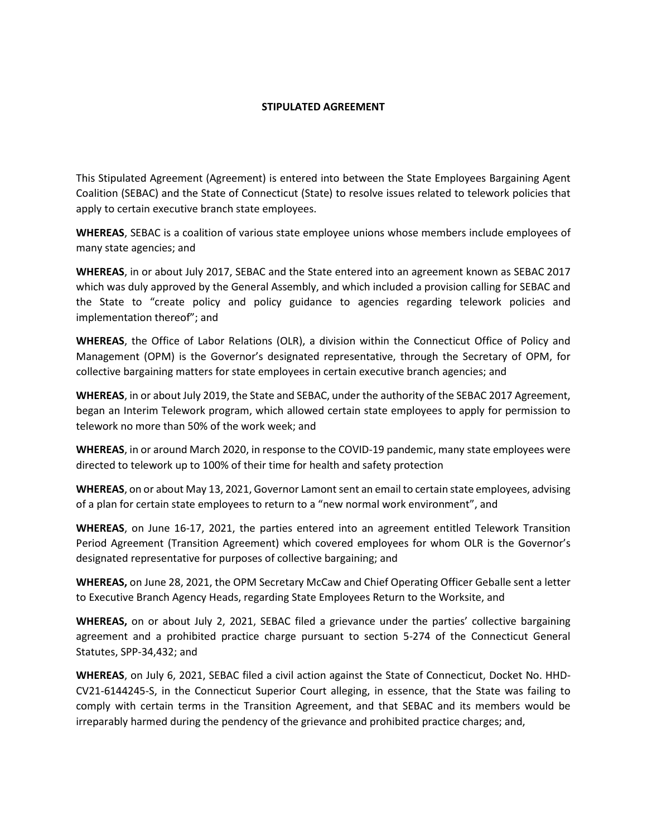#### **STIPULATED AGREEMENT**

This Stipulated Agreement (Agreement) is entered into between the State Employees Bargaining Agent Coalition (SEBAC) and the State of Connecticut (State) to resolve issues related to telework policies that apply to certain executive branch state employees.

**WHEREAS**, SEBAC is a coalition of various state employee unions whose members include employees of many state agencies; and

**WHEREAS**, in or about July 2017, SEBAC and the State entered into an agreement known as SEBAC 2017 which was duly approved by the General Assembly, and which included a provision calling for SEBAC and the State to "create policy and policy guidance to agencies regarding telework policies and implementation thereof"; and

**WHEREAS**, the Office of Labor Relations (OLR), a division within the Connecticut Office of Policy and Management (OPM) is the Governor's designated representative, through the Secretary of OPM, for collective bargaining matters for state employees in certain executive branch agencies; and

**WHEREAS**, in or about July 2019, the State and SEBAC, under the authority of the SEBAC 2017 Agreement, began an Interim Telework program, which allowed certain state employees to apply for permission to telework no more than 50% of the work week; and

**WHEREAS**, in or around March 2020, in response to the COVID-19 pandemic, many state employees were directed to telework up to 100% of their time for health and safety protection

**WHEREAS**, on or about May 13, 2021, Governor Lamont sent an email to certain state employees, advising of a plan for certain state employees to return to a "new normal work environment", and

**WHEREAS**, on June 16-17, 2021, the parties entered into an agreement entitled Telework Transition Period Agreement (Transition Agreement) which covered employees for whom OLR is the Governor's designated representative for purposes of collective bargaining; and

**WHEREAS,** on June 28, 2021, the OPM Secretary McCaw and Chief Operating Officer Geballe sent a letter to Executive Branch Agency Heads, regarding State Employees Return to the Worksite, and

**WHEREAS,** on or about July 2, 2021, SEBAC filed a grievance under the parties' collective bargaining agreement and a prohibited practice charge pursuant to section 5-274 of the Connecticut General Statutes, SPP-34,432; and

**WHEREAS**, on July 6, 2021, SEBAC filed a civil action against the State of Connecticut, Docket No. HHD-CV21-6144245-S, in the Connecticut Superior Court alleging, in essence, that the State was failing to comply with certain terms in the Transition Agreement, and that SEBAC and its members would be irreparably harmed during the pendency of the grievance and prohibited practice charges; and,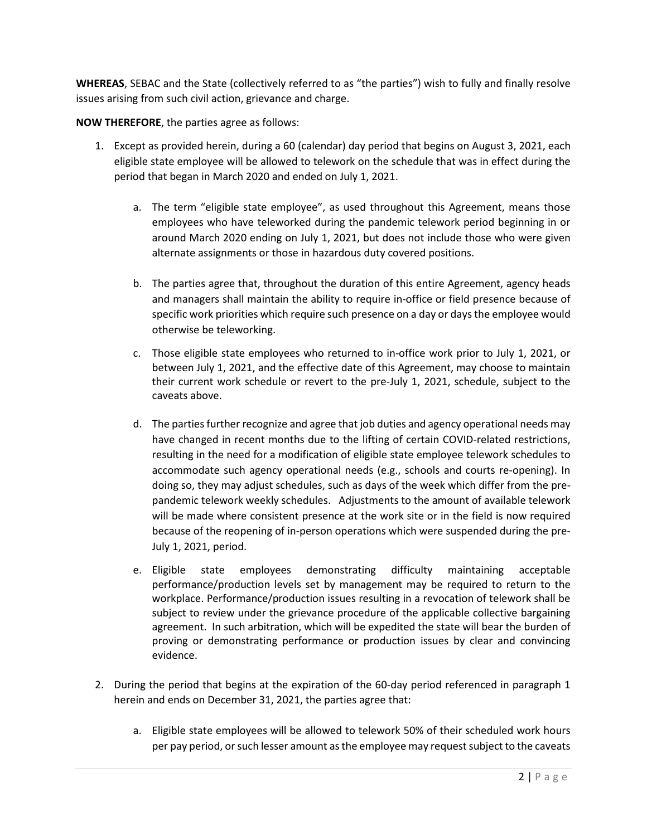**WHEREAS**, SEBAC and the State (collectively referred to as "the parties") wish to fully and finally resolve issues arising from such civil action, grievance and charge.

**NOW THEREFORE**, the parties agree as follows:

- 1. Except as provided herein, during a 60 (calendar) day period that begins on August 3, 2021, each eligible state employee will be allowed to telework on the schedule that was in effect during the period that began in March 2020 and ended on July 1, 2021.
	- a. The term "eligible state employee", as used throughout this Agreement, means those employees who have teleworked during the pandemic telework period beginning in or around March 2020 ending on July 1, 2021, but does not include those who were given alternate assignments or those in hazardous duty covered positions.
	- b. The parties agree that, throughout the duration of this entire Agreement, agency heads and managers shall maintain the ability to require in-office or field presence because of specific work priorities which require such presence on a day or daysthe employee would otherwise be teleworking.
	- c. Those eligible state employees who returned to in-office work prior to July 1, 2021, or between July 1, 2021, and the effective date of this Agreement, may choose to maintain their current work schedule or revert to the pre-July 1, 2021, schedule, subject to the caveats above.
	- d. The parties further recognize and agree that job duties and agency operational needs may have changed in recent months due to the lifting of certain COVID-related restrictions, resulting in the need for a modification of eligible state employee telework schedules to accommodate such agency operational needs (e.g., schools and courts re-opening). In doing so, they may adjust schedules, such as days of the week which differ from the prepandemic telework weekly schedules. Adjustments to the amount of available telework will be made where consistent presence at the work site or in the field is now required because of the reopening of in-person operations which were suspended during the pre-July 1, 2021, period.
	- e. Eligible state employees demonstrating difficulty maintaining acceptable performance/production levels set by management may be required to return to the workplace. Performance/production issues resulting in a revocation of telework shall be subject to review under the grievance procedure of the applicable collective bargaining agreement. In such arbitration, which will be expedited the state will bear the burden of proving or demonstrating performance or production issues by clear and convincing evidence.
- 2. During the period that begins at the expiration of the 60-day period referenced in paragraph 1 herein and ends on December 31, 2021, the parties agree that:
	- a. Eligible state employees will be allowed to telework 50% of their scheduled work hours per pay period, or such lesser amount as the employee may requestsubject to the caveats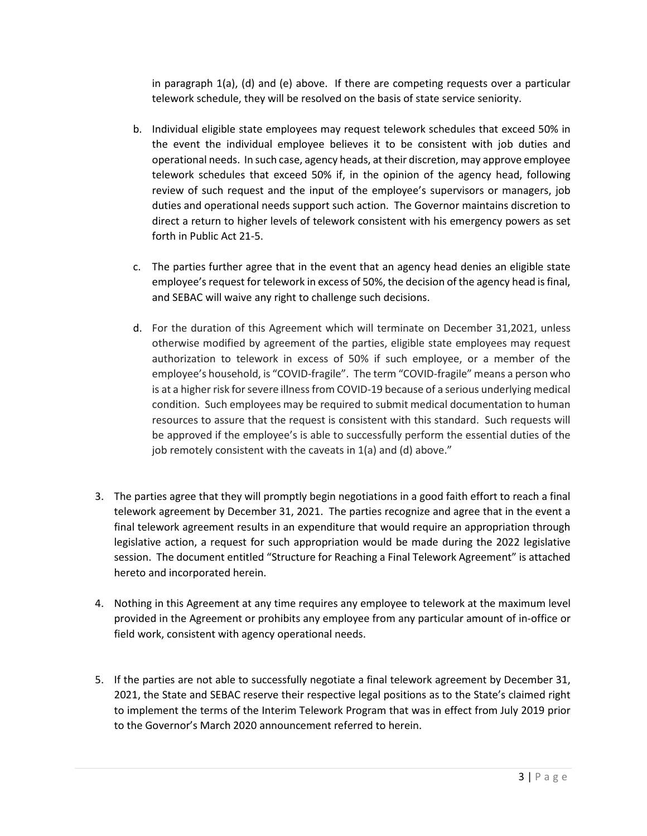in paragraph 1(a), (d) and (e) above. If there are competing requests over a particular telework schedule, they will be resolved on the basis of state service seniority.

- b. Individual eligible state employees may request telework schedules that exceed 50% in the event the individual employee believes it to be consistent with job duties and operational needs. In such case, agency heads, at their discretion, may approve employee telework schedules that exceed 50% if, in the opinion of the agency head, following review of such request and the input of the employee's supervisors or managers, job duties and operational needs support such action. The Governor maintains discretion to direct a return to higher levels of telework consistent with his emergency powers as set forth in Public Act 21-5.
- c. The parties further agree that in the event that an agency head denies an eligible state employee's request for telework in excess of 50%, the decision of the agency head is final, and SEBAC will waive any right to challenge such decisions.
- d. For the duration of this Agreement which will terminate on December 31,2021, unless otherwise modified by agreement of the parties, eligible state employees may request authorization to telework in excess of 50% if such employee, or a member of the employee's household, is "COVID-fragile". The term "COVID-fragile" means a person who is at a higher risk for severe illness from COVID-19 because of a serious underlying medical condition. Such employees may be required to submit medical documentation to human resources to assure that the request is consistent with this standard. Such requests will be approved if the employee's is able to successfully perform the essential duties of the job remotely consistent with the caveats in 1(a) and (d) above."
- 3. The parties agree that they will promptly begin negotiations in a good faith effort to reach a final telework agreement by December 31, 2021. The parties recognize and agree that in the event a final telework agreement results in an expenditure that would require an appropriation through legislative action, a request for such appropriation would be made during the 2022 legislative session. The document entitled "Structure for Reaching a Final Telework Agreement" is attached hereto and incorporated herein.
- 4. Nothing in this Agreement at any time requires any employee to telework at the maximum level provided in the Agreement or prohibits any employee from any particular amount of in-office or field work, consistent with agency operational needs.
- 5. If the parties are not able to successfully negotiate a final telework agreement by December 31, 2021, the State and SEBAC reserve their respective legal positions as to the State's claimed right to implement the terms of the Interim Telework Program that was in effect from July 2019 prior to the Governor's March 2020 announcement referred to herein.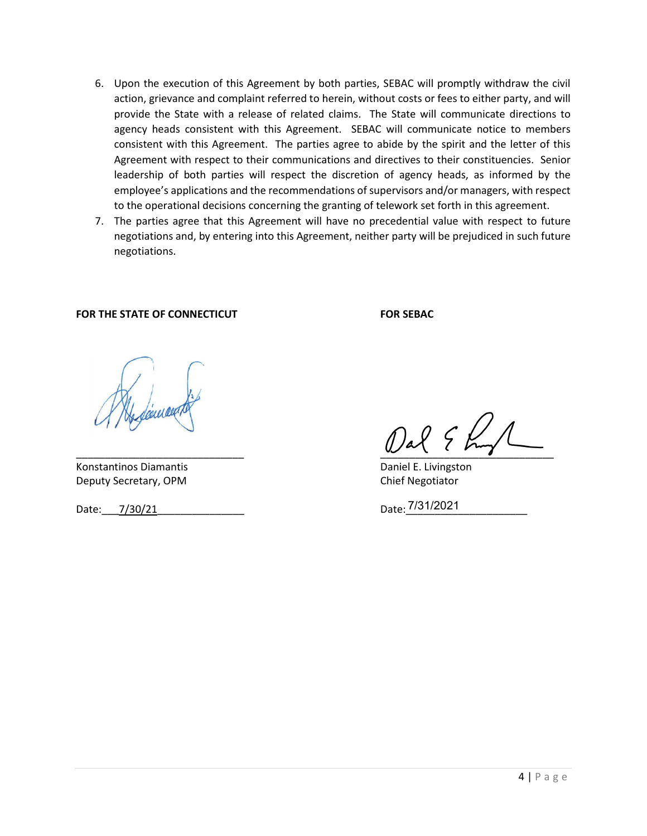- 6. Upon the execution of this Agreement by both parties, SEBAC will promptly withdraw the civil action, grievance and complaint referred to herein, without costs or fees to either party, and will provide the State with a release of related claims. The State will communicate directions to agency heads consistent with this Agreement. SEBAC will communicate notice to members consistent with this Agreement. The parties agree to abide by the spirit and the letter of this Agreement with respect to their communications and directives to their constituencies. Senior leadership of both parties will respect the discretion of agency heads, as informed by the employee's applications and the recommendations of supervisors and/or managers, with respect to the operational decisions concerning the granting of telework set forth in this agreement.
- 7. The parties agree that this Agreement will have no precedential value with respect to future negotiations and, by entering into this Agreement, neither party will be prejudiced in such future negotiations.

#### FOR THE STATE OF CONNECTICUT FOR SEBAC

Konstantinos Diamantis **Daniel E. Livingston** Deputy Secretary, OPM Chief Negotiator

Date: 7/30/21 Date: 20021

 $\omega$  and  $\omega$  and  $\omega$  and  $\omega$  and  $\omega$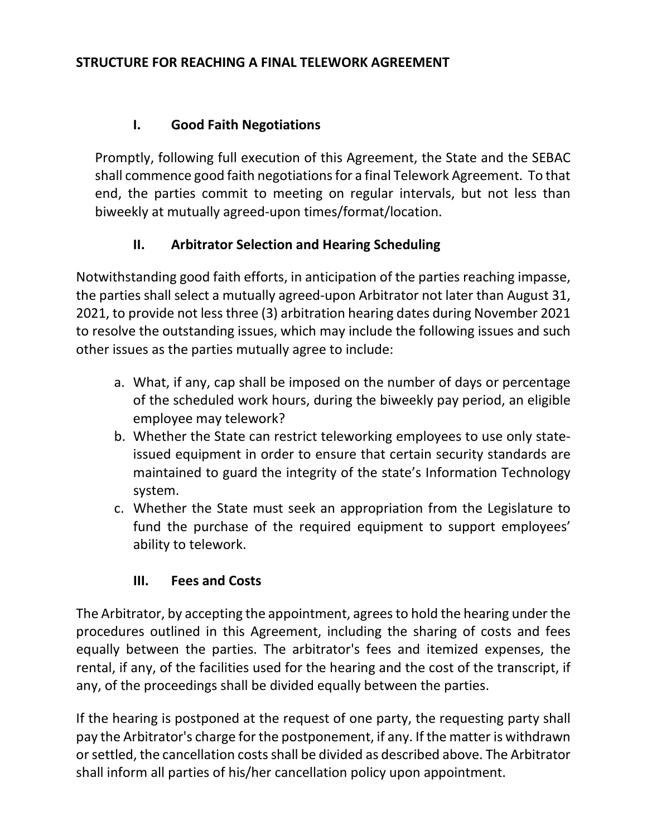#### **I. Good Faith Negotiations**

Promptly, following full execution of this Agreement, the State and the SEBAC shall commence good faith negotiations for a final Telework Agreement. To that end, the parties commit to meeting on regular intervals, but not less than biweekly at mutually agreed-upon times/format/location.

#### **II. Arbitrator Selection and Hearing Scheduling**

Notwithstanding good faith efforts, in anticipation of the parties reaching impasse, the parties shall select a mutually agreed-upon Arbitrator not later than August 31, 2021, to provide not less three (3) arbitration hearing dates during November 2021 to resolve the outstanding issues, which may include the following issues and such other issues as the parties mutually agree to include:

- a. What, if any, cap shall be imposed on the number of days or percentage of the scheduled work hours, during the biweekly pay period, an eligible employee may telework?
- b. Whether the State can restrict teleworking employees to use only stateissued equipment in order to ensure that certain security standards are maintained to guard the integrity of the state's Information Technology system.
- c. Whether the State must seek an appropriation from the Legislature to fund the purchase of the required equipment to support employees' ability to telework.

## **III. Fees and Costs**

The Arbitrator, by accepting the appointment, agrees to hold the hearing under the procedures outlined in this Agreement, including the sharing of costs and fees equally between the parties. The arbitrator's fees and itemized expenses, the rental, if any, of the facilities used for the hearing and the cost of the transcript, if any, of the proceedings shall be divided equally between the parties.

If the hearing is postponed at the request of one party, the requesting party shall pay the Arbitrator's charge for the postponement, if any. If the matter is withdrawn or settled, the cancellation costs shall be divided as described above. The Arbitrator shall inform all parties of his/her cancellation policy upon appointment.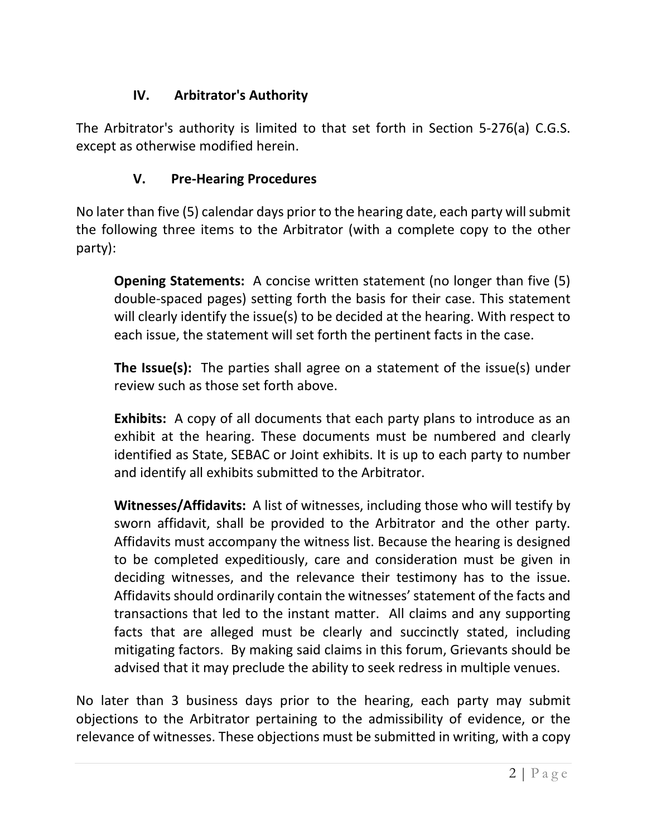# **IV. Arbitrator's Authority**

The Arbitrator's authority is limited to that set forth in Section 5-276(a) C.G.S. except as otherwise modified herein.

# **V. Pre-Hearing Procedures**

No later than five (5) calendar days prior to the hearing date, each party will submit the following three items to the Arbitrator (with a complete copy to the other party):

**Opening Statements:** A concise written statement (no longer than five (5) double-spaced pages) setting forth the basis for their case. This statement will clearly identify the issue(s) to be decided at the hearing. With respect to each issue, the statement will set forth the pertinent facts in the case.

**The Issue(s):** The parties shall agree on a statement of the issue(s) under review such as those set forth above.

**Exhibits:** A copy of all documents that each party plans to introduce as an exhibit at the hearing. These documents must be numbered and clearly identified as State, SEBAC or Joint exhibits. It is up to each party to number and identify all exhibits submitted to the Arbitrator.

**Witnesses/Affidavits:** A list of witnesses, including those who will testify by sworn affidavit, shall be provided to the Arbitrator and the other party. Affidavits must accompany the witness list. Because the hearing is designed to be completed expeditiously, care and consideration must be given in deciding witnesses, and the relevance their testimony has to the issue. Affidavits should ordinarily contain the witnesses' statement of the facts and transactions that led to the instant matter. All claims and any supporting facts that are alleged must be clearly and succinctly stated, including mitigating factors. By making said claims in this forum, Grievants should be advised that it may preclude the ability to seek redress in multiple venues.

No later than 3 business days prior to the hearing, each party may submit objections to the Arbitrator pertaining to the admissibility of evidence, or the relevance of witnesses. These objections must be submitted in writing, with a copy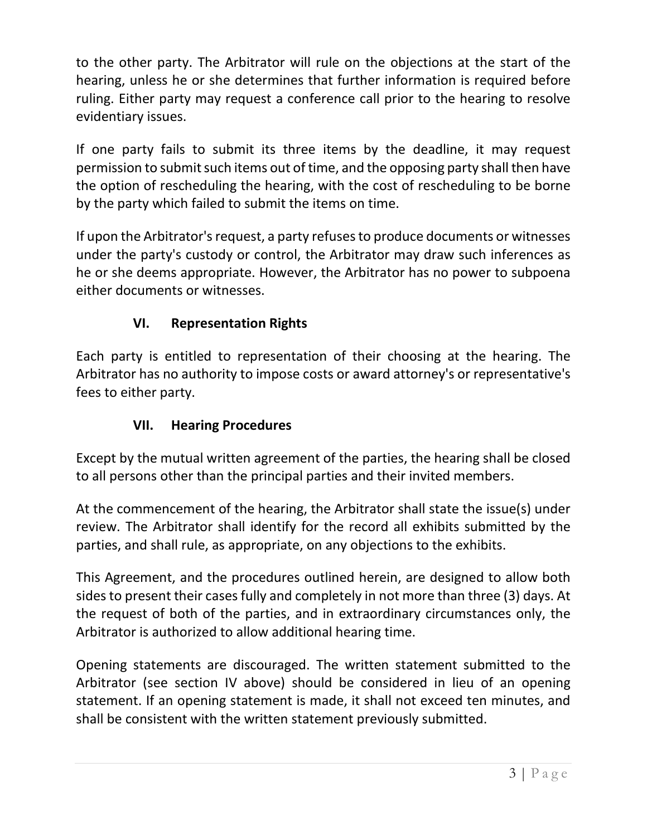to the other party. The Arbitrator will rule on the objections at the start of the hearing, unless he or she determines that further information is required before ruling. Either party may request a conference call prior to the hearing to resolve evidentiary issues.

If one party fails to submit its three items by the deadline, it may request permission to submit such items out of time, and the opposing party shall then have the option of rescheduling the hearing, with the cost of rescheduling to be borne by the party which failed to submit the items on time.

If upon the Arbitrator's request, a party refuses to produce documents or witnesses under the party's custody or control, the Arbitrator may draw such inferences as he or she deems appropriate. However, the Arbitrator has no power to subpoena either documents or witnesses.

# **VI. Representation Rights**

Each party is entitled to representation of their choosing at the hearing. The Arbitrator has no authority to impose costs or award attorney's or representative's fees to either party.

#### **VII. Hearing Procedures**

Except by the mutual written agreement of the parties, the hearing shall be closed to all persons other than the principal parties and their invited members.

At the commencement of the hearing, the Arbitrator shall state the issue(s) under review. The Arbitrator shall identify for the record all exhibits submitted by the parties, and shall rule, as appropriate, on any objections to the exhibits.

This Agreement, and the procedures outlined herein, are designed to allow both sides to present their cases fully and completely in not more than three (3) days. At the request of both of the parties, and in extraordinary circumstances only, the Arbitrator is authorized to allow additional hearing time.

Opening statements are discouraged. The written statement submitted to the Arbitrator (see section IV above) should be considered in lieu of an opening statement. If an opening statement is made, it shall not exceed ten minutes, and shall be consistent with the written statement previously submitted.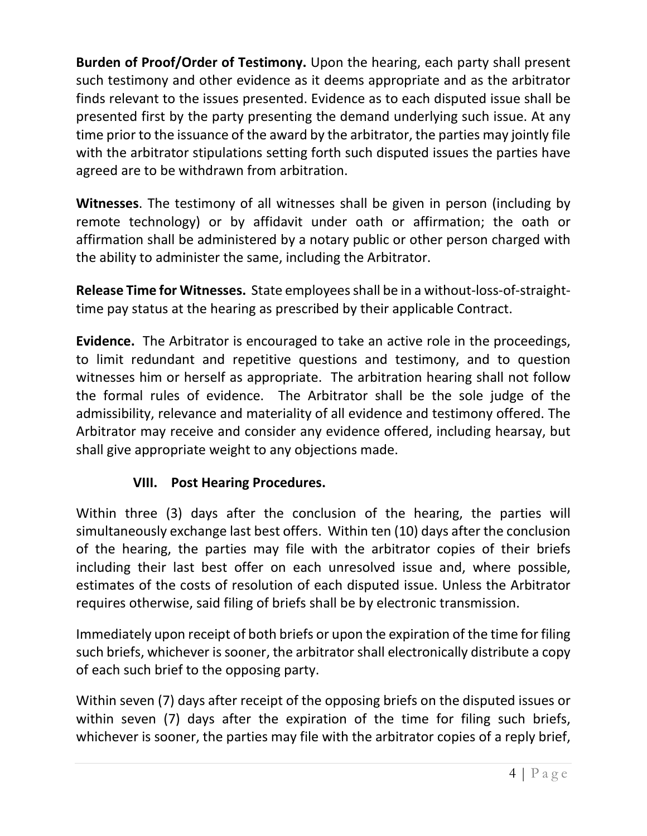**Burden of Proof/Order of Testimony.** Upon the hearing, each party shall present such testimony and other evidence as it deems appropriate and as the arbitrator finds relevant to the issues presented. Evidence as to each disputed issue shall be presented first by the party presenting the demand underlying such issue. At any time prior to the issuance of the award by the arbitrator, the parties may jointly file with the arbitrator stipulations setting forth such disputed issues the parties have agreed are to be withdrawn from arbitration.

**Witnesses**. The testimony of all witnesses shall be given in person (including by remote technology) or by affidavit under oath or affirmation; the oath or affirmation shall be administered by a notary public or other person charged with the ability to administer the same, including the Arbitrator.

**Release Time for Witnesses.** State employees shall be in a without-loss-of-straighttime pay status at the hearing as prescribed by their applicable Contract.

**Evidence.** The Arbitrator is encouraged to take an active role in the proceedings, to limit redundant and repetitive questions and testimony, and to question witnesses him or herself as appropriate. The arbitration hearing shall not follow the formal rules of evidence. The Arbitrator shall be the sole judge of the admissibility, relevance and materiality of all evidence and testimony offered. The Arbitrator may receive and consider any evidence offered, including hearsay, but shall give appropriate weight to any objections made.

## **VIII. Post Hearing Procedures.**

Within three (3) days after the conclusion of the hearing, the parties will simultaneously exchange last best offers. Within ten (10) days after the conclusion of the hearing, the parties may file with the arbitrator copies of their briefs including their last best offer on each unresolved issue and, where possible, estimates of the costs of resolution of each disputed issue. Unless the Arbitrator requires otherwise, said filing of briefs shall be by electronic transmission.

Immediately upon receipt of both briefs or upon the expiration of the time for filing such briefs, whichever is sooner, the arbitrator shall electronically distribute a copy of each such brief to the opposing party.

Within seven (7) days after receipt of the opposing briefs on the disputed issues or within seven (7) days after the expiration of the time for filing such briefs, whichever is sooner, the parties may file with the arbitrator copies of a reply brief,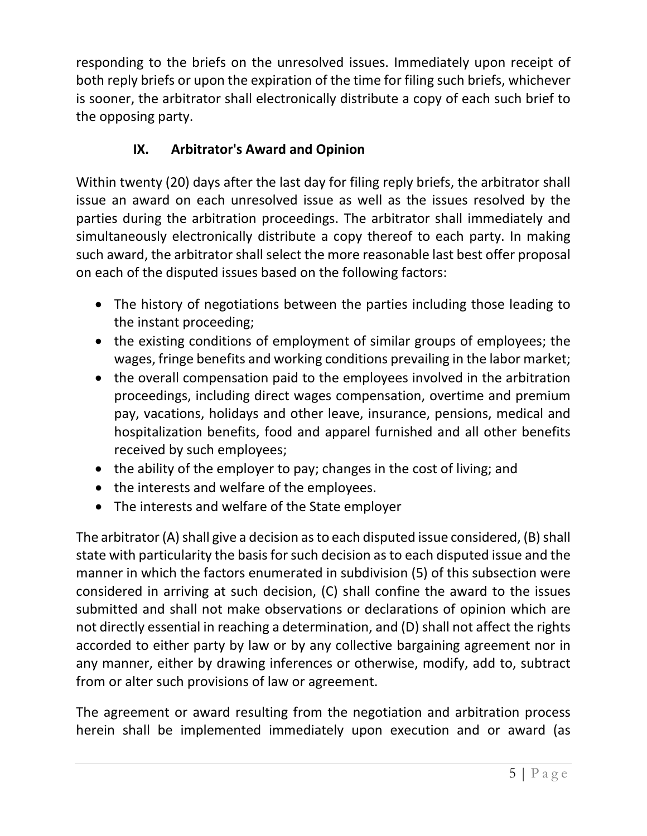responding to the briefs on the unresolved issues. Immediately upon receipt of both reply briefs or upon the expiration of the time for filing such briefs, whichever is sooner, the arbitrator shall electronically distribute a copy of each such brief to the opposing party.

# **IX. Arbitrator's Award and Opinion**

Within twenty (20) days after the last day for filing reply briefs, the arbitrator shall issue an award on each unresolved issue as well as the issues resolved by the parties during the arbitration proceedings. The arbitrator shall immediately and simultaneously electronically distribute a copy thereof to each party. In making such award, the arbitrator shall select the more reasonable last best offer proposal on each of the disputed issues based on the following factors:

- The history of negotiations between the parties including those leading to the instant proceeding;
- the existing conditions of employment of similar groups of employees; the wages, fringe benefits and working conditions prevailing in the labor market;
- the overall compensation paid to the employees involved in the arbitration proceedings, including direct wages compensation, overtime and premium pay, vacations, holidays and other leave, insurance, pensions, medical and hospitalization benefits, food and apparel furnished and all other benefits received by such employees;
- the ability of the employer to pay; changes in the cost of living; and
- the interests and welfare of the employees.
- The interests and welfare of the State employer

The arbitrator (A) shall give a decision as to each disputed issue considered, (B) shall state with particularity the basis for such decision as to each disputed issue and the manner in which the factors enumerated in subdivision (5) of this subsection were considered in arriving at such decision, (C) shall confine the award to the issues submitted and shall not make observations or declarations of opinion which are not directly essential in reaching a determination, and (D) shall not affect the rights accorded to either party by law or by any collective bargaining agreement nor in any manner, either by drawing inferences or otherwise, modify, add to, subtract from or alter such provisions of law or agreement.

The agreement or award resulting from the negotiation and arbitration process herein shall be implemented immediately upon execution and or award (as